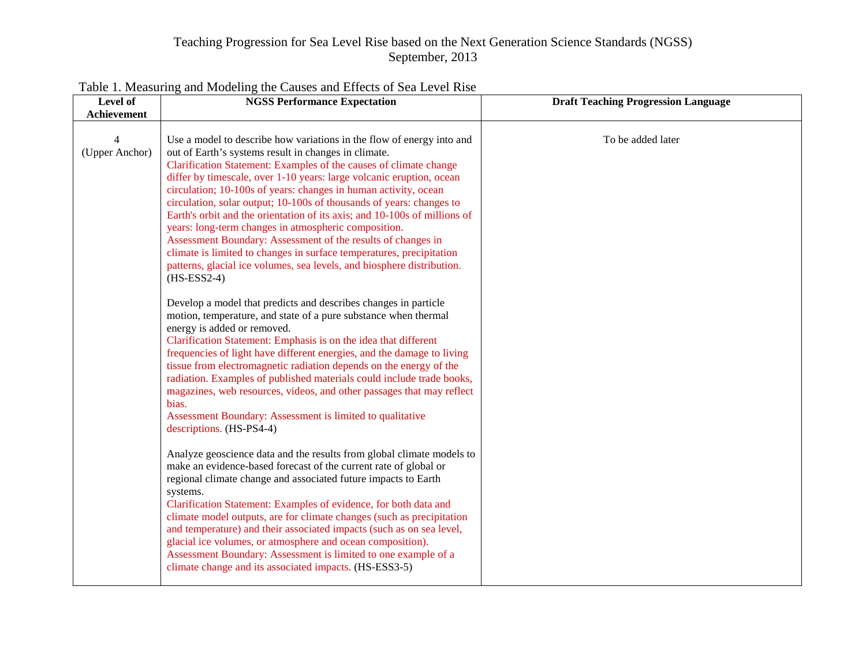## Teaching Progression for Sea Level Rise based on the Next Generation Science Standards (NGSS) September, 2013

| Level of<br>Achievement          | <b>NGSS Performance Expectation</b>                                                                                                                                                                                                                                                                                                                                                                                                                                                                                                                                                                                                                                                                                                                                                           | <b>Draft Teaching Progression Language</b> |
|----------------------------------|-----------------------------------------------------------------------------------------------------------------------------------------------------------------------------------------------------------------------------------------------------------------------------------------------------------------------------------------------------------------------------------------------------------------------------------------------------------------------------------------------------------------------------------------------------------------------------------------------------------------------------------------------------------------------------------------------------------------------------------------------------------------------------------------------|--------------------------------------------|
| $\overline{4}$<br>(Upper Anchor) | Use a model to describe how variations in the flow of energy into and<br>out of Earth's systems result in changes in climate.<br>Clarification Statement: Examples of the causes of climate change<br>differ by timescale, over 1-10 years: large volcanic eruption, ocean<br>circulation; 10-100s of years: changes in human activity, ocean<br>circulation, solar output; 10-100s of thousands of years: changes to<br>Earth's orbit and the orientation of its axis; and 10-100s of millions of<br>years: long-term changes in atmospheric composition.<br>Assessment Boundary: Assessment of the results of changes in<br>climate is limited to changes in surface temperatures, precipitation<br>patterns, glacial ice volumes, sea levels, and biosphere distribution.<br>$(HS-ESS2-4)$ | To be added later                          |
|                                  | Develop a model that predicts and describes changes in particle<br>motion, temperature, and state of a pure substance when thermal<br>energy is added or removed.<br>Clarification Statement: Emphasis is on the idea that different<br>frequencies of light have different energies, and the damage to living<br>tissue from electromagnetic radiation depends on the energy of the<br>radiation. Examples of published materials could include trade books,<br>magazines, web resources, videos, and other passages that may reflect<br>bias.<br>Assessment Boundary: Assessment is limited to qualitative<br>descriptions. (HS-PS4-4)                                                                                                                                                      |                                            |
|                                  | Analyze geoscience data and the results from global climate models to<br>make an evidence-based forecast of the current rate of global or<br>regional climate change and associated future impacts to Earth<br>systems.<br>Clarification Statement: Examples of evidence, for both data and<br>climate model outputs, are for climate changes (such as precipitation<br>and temperature) and their associated impacts (such as on sea level,<br>glacial ice volumes, or atmosphere and ocean composition).<br>Assessment Boundary: Assessment is limited to one example of a<br>climate change and its associated impacts. (HS-ESS3-5)                                                                                                                                                        |                                            |

Table 1. Measuring and Modeling the Causes and Effects of Sea Level Rise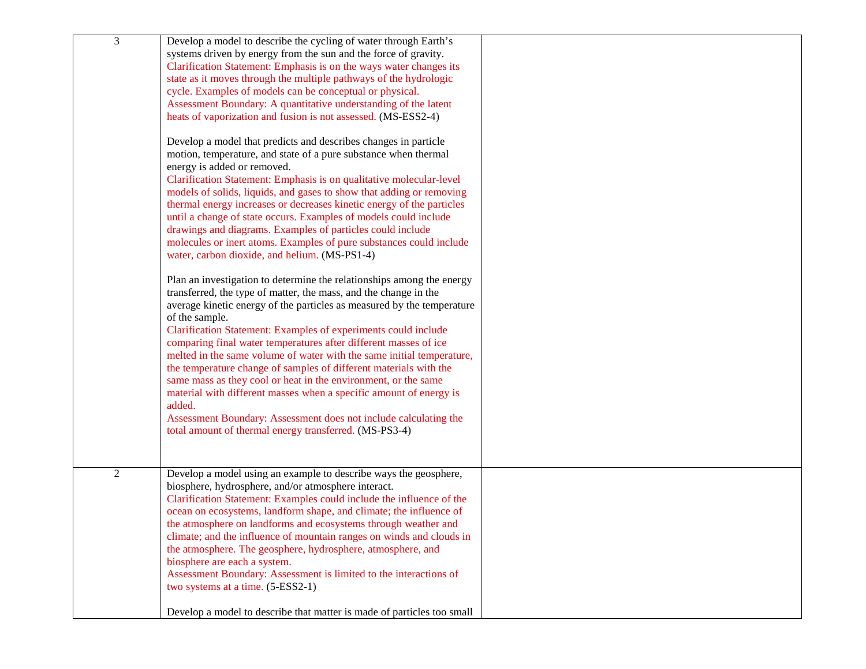| 3 | Develop a model to describe the cycling of water through Earth's<br>systems driven by energy from the sun and the force of gravity.<br>Clarification Statement: Emphasis is on the ways water changes its<br>state as it moves through the multiple pathways of the hydrologic<br>cycle. Examples of models can be conceptual or physical.<br>Assessment Boundary: A quantitative understanding of the latent<br>heats of vaporization and fusion is not assessed. (MS-ESS2-4)<br>Develop a model that predicts and describes changes in particle<br>motion, temperature, and state of a pure substance when thermal<br>energy is added or removed.<br>Clarification Statement: Emphasis is on qualitative molecular-level<br>models of solids, liquids, and gases to show that adding or removing<br>thermal energy increases or decreases kinetic energy of the particles<br>until a change of state occurs. Examples of models could include<br>drawings and diagrams. Examples of particles could include<br>molecules or inert atoms. Examples of pure substances could include<br>water, carbon dioxide, and helium. (MS-PS1-4)<br>Plan an investigation to determine the relationships among the energy<br>transferred, the type of matter, the mass, and the change in the<br>average kinetic energy of the particles as measured by the temperature<br>of the sample.<br>Clarification Statement: Examples of experiments could include<br>comparing final water temperatures after different masses of ice |  |
|---|----------------------------------------------------------------------------------------------------------------------------------------------------------------------------------------------------------------------------------------------------------------------------------------------------------------------------------------------------------------------------------------------------------------------------------------------------------------------------------------------------------------------------------------------------------------------------------------------------------------------------------------------------------------------------------------------------------------------------------------------------------------------------------------------------------------------------------------------------------------------------------------------------------------------------------------------------------------------------------------------------------------------------------------------------------------------------------------------------------------------------------------------------------------------------------------------------------------------------------------------------------------------------------------------------------------------------------------------------------------------------------------------------------------------------------------------------------------------------------------------------------------------|--|
|   | melted in the same volume of water with the same initial temperature,<br>the temperature change of samples of different materials with the<br>same mass as they cool or heat in the environment, or the same<br>material with different masses when a specific amount of energy is<br>added.<br>Assessment Boundary: Assessment does not include calculating the<br>total amount of thermal energy transferred. (MS-PS3-4)                                                                                                                                                                                                                                                                                                                                                                                                                                                                                                                                                                                                                                                                                                                                                                                                                                                                                                                                                                                                                                                                                           |  |
| 2 | Develop a model using an example to describe ways the geosphere,<br>biosphere, hydrosphere, and/or atmosphere interact.<br>Clarification Statement: Examples could include the influence of the<br>ocean on ecosystems, landform shape, and climate; the influence of<br>the atmosphere on landforms and ecosystems through weather and<br>climate; and the influence of mountain ranges on winds and clouds in<br>the atmosphere. The geosphere, hydrosphere, atmosphere, and<br>biosphere are each a system.<br>Assessment Boundary: Assessment is limited to the interactions of<br>two systems at a time. (5-ESS2-1)<br>Develop a model to describe that matter is made of particles too small                                                                                                                                                                                                                                                                                                                                                                                                                                                                                                                                                                                                                                                                                                                                                                                                                   |  |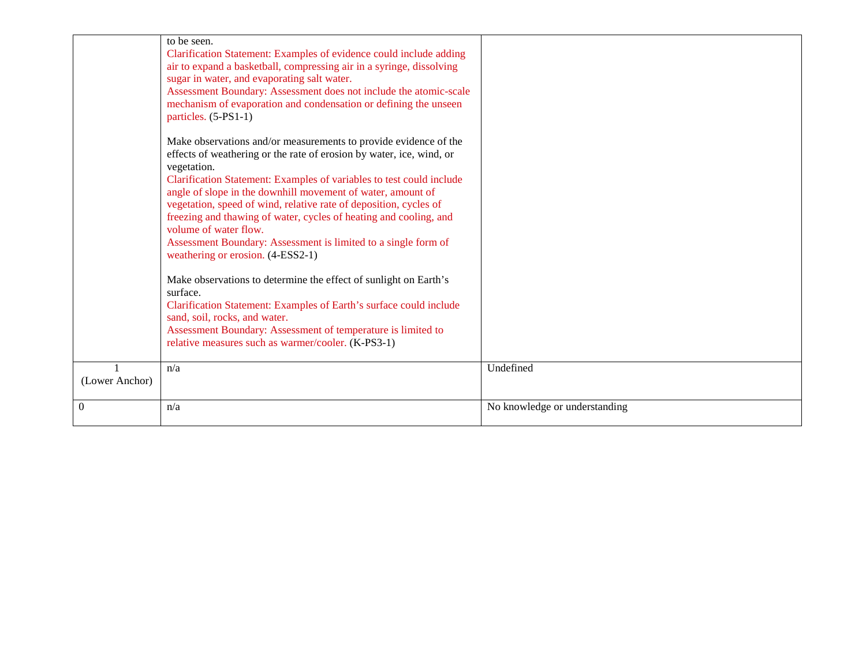|                | to be seen.<br>Clarification Statement: Examples of evidence could include adding<br>air to expand a basketball, compressing air in a syringe, dissolving<br>sugar in water, and evaporating salt water.<br>Assessment Boundary: Assessment does not include the atomic-scale<br>mechanism of evaporation and condensation or defining the unseen<br>particles. (5-PS1-1)<br>Make observations and/or measurements to provide evidence of the<br>effects of weathering or the rate of erosion by water, ice, wind, or<br>vegetation.<br>Clarification Statement: Examples of variables to test could include<br>angle of slope in the downhill movement of water, amount of<br>vegetation, speed of wind, relative rate of deposition, cycles of<br>freezing and thawing of water, cycles of heating and cooling, and<br>volume of water flow.<br>Assessment Boundary: Assessment is limited to a single form of<br>weathering or erosion. (4-ESS2-1)<br>Make observations to determine the effect of sunlight on Earth's<br>surface.<br>Clarification Statement: Examples of Earth's surface could include<br>sand, soil, rocks, and water.<br>Assessment Boundary: Assessment of temperature is limited to<br>relative measures such as warmer/cooler. (K-PS3-1) |                               |
|----------------|--------------------------------------------------------------------------------------------------------------------------------------------------------------------------------------------------------------------------------------------------------------------------------------------------------------------------------------------------------------------------------------------------------------------------------------------------------------------------------------------------------------------------------------------------------------------------------------------------------------------------------------------------------------------------------------------------------------------------------------------------------------------------------------------------------------------------------------------------------------------------------------------------------------------------------------------------------------------------------------------------------------------------------------------------------------------------------------------------------------------------------------------------------------------------------------------------------------------------------------------------------------------|-------------------------------|
| (Lower Anchor) | n/a                                                                                                                                                                                                                                                                                                                                                                                                                                                                                                                                                                                                                                                                                                                                                                                                                                                                                                                                                                                                                                                                                                                                                                                                                                                                | Undefined                     |
| $\Omega$       | n/a                                                                                                                                                                                                                                                                                                                                                                                                                                                                                                                                                                                                                                                                                                                                                                                                                                                                                                                                                                                                                                                                                                                                                                                                                                                                | No knowledge or understanding |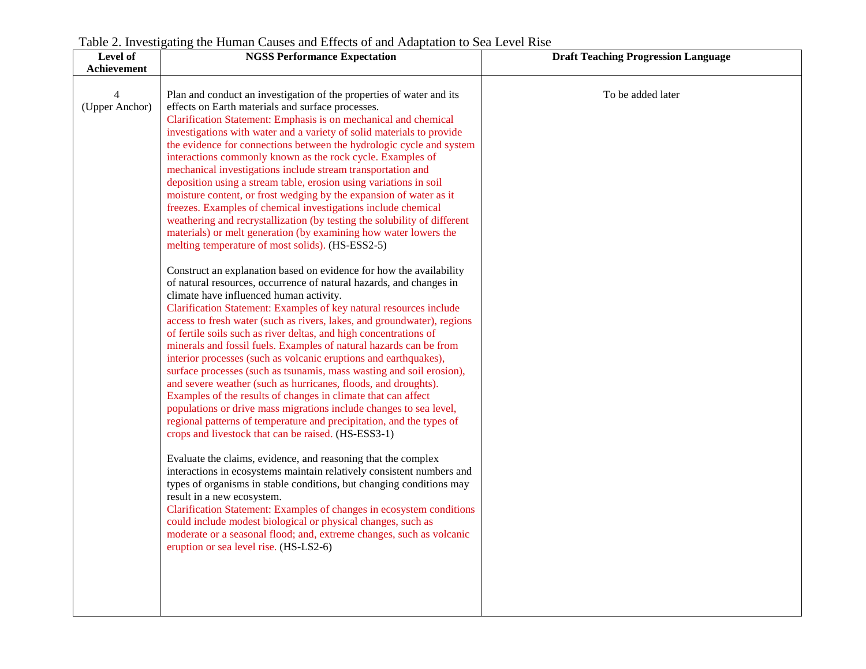| Level of<br>Achievement          | <b>NGSS Performance Expectation</b>                                                                                                                                                                                                                                                                                                                                                                                                                                                                                                                                                                                                                                                                                                                                                                                                                                                                                                                                                                                                                                                                                                                                                                                                                                                                                                                                                                                                                                                                                                                                                                                                                                                                                                                                                                                                                                                                                                                                                                                                                                                                                                                                                                                                                                                                                                                                           | <b>Draft Teaching Progression Language</b> |
|----------------------------------|-------------------------------------------------------------------------------------------------------------------------------------------------------------------------------------------------------------------------------------------------------------------------------------------------------------------------------------------------------------------------------------------------------------------------------------------------------------------------------------------------------------------------------------------------------------------------------------------------------------------------------------------------------------------------------------------------------------------------------------------------------------------------------------------------------------------------------------------------------------------------------------------------------------------------------------------------------------------------------------------------------------------------------------------------------------------------------------------------------------------------------------------------------------------------------------------------------------------------------------------------------------------------------------------------------------------------------------------------------------------------------------------------------------------------------------------------------------------------------------------------------------------------------------------------------------------------------------------------------------------------------------------------------------------------------------------------------------------------------------------------------------------------------------------------------------------------------------------------------------------------------------------------------------------------------------------------------------------------------------------------------------------------------------------------------------------------------------------------------------------------------------------------------------------------------------------------------------------------------------------------------------------------------------------------------------------------------------------------------------------------------|--------------------------------------------|
| $\overline{4}$<br>(Upper Anchor) | Plan and conduct an investigation of the properties of water and its<br>effects on Earth materials and surface processes.<br>Clarification Statement: Emphasis is on mechanical and chemical<br>investigations with water and a variety of solid materials to provide<br>the evidence for connections between the hydrologic cycle and system<br>interactions commonly known as the rock cycle. Examples of<br>mechanical investigations include stream transportation and<br>deposition using a stream table, erosion using variations in soil<br>moisture content, or frost wedging by the expansion of water as it<br>freezes. Examples of chemical investigations include chemical<br>weathering and recrystallization (by testing the solubility of different<br>materials) or melt generation (by examining how water lowers the<br>melting temperature of most solids). (HS-ESS2-5)<br>Construct an explanation based on evidence for how the availability<br>of natural resources, occurrence of natural hazards, and changes in<br>climate have influenced human activity.<br>Clarification Statement: Examples of key natural resources include<br>access to fresh water (such as rivers, lakes, and groundwater), regions<br>of fertile soils such as river deltas, and high concentrations of<br>minerals and fossil fuels. Examples of natural hazards can be from<br>interior processes (such as volcanic eruptions and earthquakes),<br>surface processes (such as tsunamis, mass wasting and soil erosion),<br>and severe weather (such as hurricanes, floods, and droughts).<br>Examples of the results of changes in climate that can affect<br>populations or drive mass migrations include changes to sea level,<br>regional patterns of temperature and precipitation, and the types of<br>crops and livestock that can be raised. (HS-ESS3-1)<br>Evaluate the claims, evidence, and reasoning that the complex<br>interactions in ecosystems maintain relatively consistent numbers and<br>types of organisms in stable conditions, but changing conditions may<br>result in a new ecosystem.<br>Clarification Statement: Examples of changes in ecosystem conditions<br>could include modest biological or physical changes, such as<br>moderate or a seasonal flood; and, extreme changes, such as volcanic<br>eruption or sea level rise. (HS-LS2-6) | To be added later                          |

## Table 2. Investigating the Human Causes and Effects of and Adaptation to Sea Level Rise